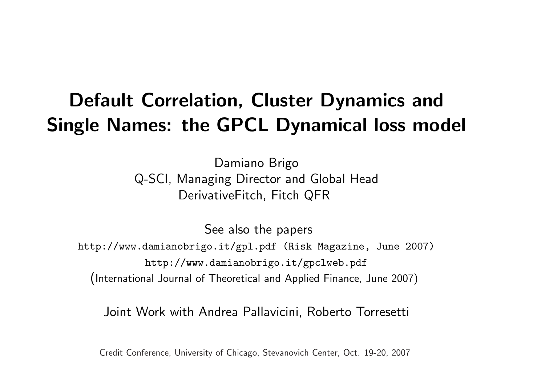# Default Correlation, Cluster Dynamics and Single Names: the GPCL Dynamical loss model

Damiano Brigo Q-SCI, Managing Director and Global Head DerivativeFitch, Fitch QFR

See also the papers http://www.damianobrigo.it/gpl.pdf (Risk Magazine, June 2007) http://www.damianobrigo.it/gpclweb.pdf

(International Journal of Theoretical and Applied Finance, June 2007)

Joint Work with Andrea Pallavicini, Roberto Torresetti

Credit Conference, University of Chicago, Stevanovich Center, Oct. 19-20, 2007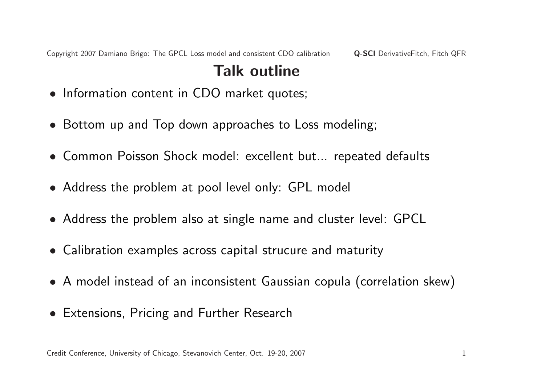Copyright 2007 Damiano Brigo: The GPCL Loss model and consistent CDO calibration **Q-SCI** DerivativeFitch, Fitch QFR

## Talk outline

- Information content in CDO market quotes;
- Bottom up and Top down approaches to Loss modeling;
- Common Poisson Shock model: excellent but... repeated defaults
- Address the problem at pool level only: GPL model
- Address the problem also at single name and cluster level: GPCL
- Calibration examples across capital strucure and maturity
- A model instead of an inconsistent Gaussian copula (correlation skew)
- Extensions, Pricing and Further Research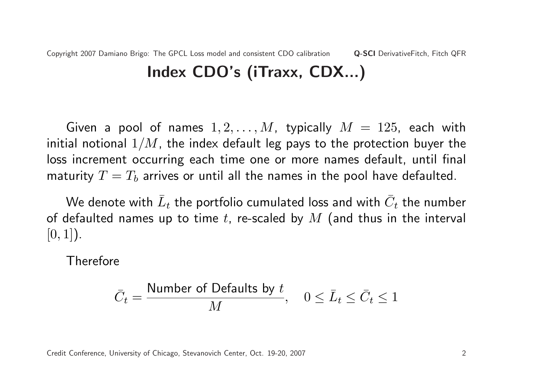Copyright 2007 Damiano Brigo: The GPCL Loss model and consistent CDO calibration Q-SCI DerivativeFitch, Fitch QFR Index CDO's (iTraxx, CDX...)

Given a pool of names  $1, 2, \ldots, M$ , typically  $M = 125$ , each with initial notional  $1/M$ , the index default leg pays to the protection buyer the loss increment occurring each time one or more names default, until final maturity  $T = T_b$  arrives or until all the names in the pool have defaulted.

We denote with  $\bar{L}_t$  the portfolio cumulated loss and with  $\bar{C}_t$  the number of defaulted names up to time t, re-scaled by  $M$  (and thus in the interval  $[0, 1]$ ).

Therefore

$$
\bar{C}_t = \frac{\text{Number of Defaults by } t}{M}, \quad 0 \le \bar{L}_t \le \bar{C}_t \le 1
$$

Credit Conference, University of Chicago, Stevanovich Center, Oct. 19-20, 2007 2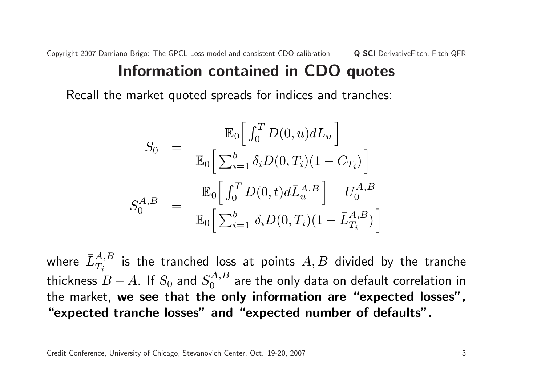## Information contained in CDO quotes

Recall the market quoted spreads for indices and tranches:

$$
S_0 = \frac{\mathbb{E}_0 \left[ \int_0^T D(0, u) d\bar{L}_u \right]}{\mathbb{E}_0 \left[ \sum_{i=1}^b \delta_i D(0, T_i) (1 - \bar{C}_{T_i}) \right]}
$$
  

$$
S_0^{A, B} = \frac{\mathbb{E}_0 \left[ \int_0^T D(0, t) d\bar{L}_u^{A, B} \right] - U_0^{A, B}}{\mathbb{E}_0 \left[ \sum_{i=1}^b \delta_i D(0, T_i) (1 - \bar{L}_{T_i}^{A, B}) \right]}
$$

where  $\bar{L}^{A,B}_{T_i}$  is the tranched loss at points  $A,B$  divided by the tranche thickness  $\overline{B}-A.$  If  $S_0$  and  $S_0^{A,B}$  $\mathcal{C}^{A,B}_0$  are the only data on default correlation in the market, we see that the only information are "expected losses", "expected tranche losses" and "expected number of defaults".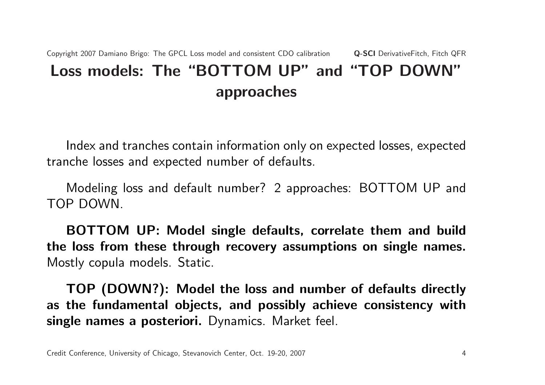## Copyright 2007 Damiano Brigo: The GPCL Loss model and consistent CDO calibration Q-SCI DerivativeFitch, Fitch QFR Loss models: The "BOTTOM UP" and "TOP DOWN" approaches

Index and tranches contain information only on expected losses, expected tranche losses and expected number of defaults.

Modeling loss and default number? 2 approaches: BOTTOM UP and TOP DOWN.

BOTTOM UP: Model single defaults, correlate them and build the loss from these through recovery assumptions on single names. Mostly copula models. Static.

TOP (DOWN?): Model the loss and number of defaults directly as the fundamental objects, and possibly achieve consistency with single names a posteriori. Dynamics. Market feel.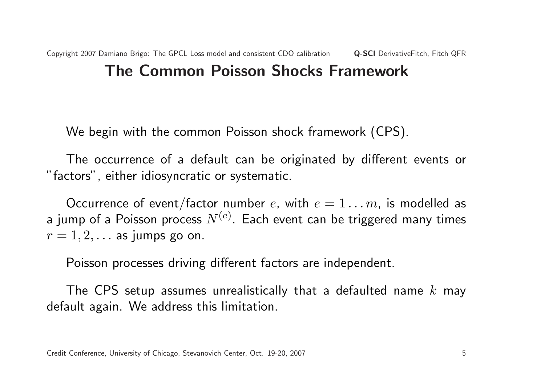We begin with the common Poisson shock framework (CPS).

The occurrence of a default can be originated by different events or "factors", either idiosyncratic or systematic.

Occurrence of event/factor number e, with  $e = 1 \ldots m$ , is modelled as a jump of a Poisson process  $N^{(e)}$ . Each event can be triggered many times  $r = 1, 2, \ldots$  as jumps go on.

Poisson processes driving different factors are independent.

The CPS setup assumes unrealistically that a defaulted name  $k$  may default again. We address this limitation.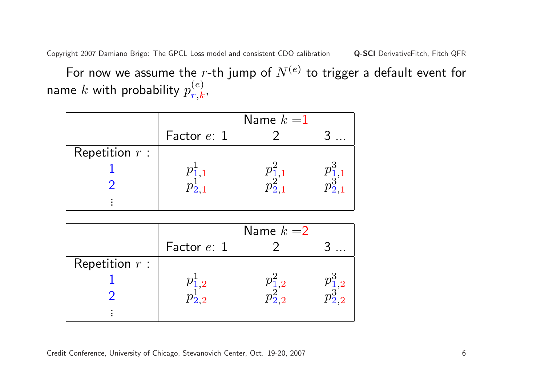For now we assume the r-th jump of  $N^{(e)}$  to trigger a default event for name  $k$  with probability  $p_{\bm r,\bm k}^{(e)}$  $\frac{(e)}{r,k}$  ,

|                  |                             | Name $k=1$ |  |
|------------------|-----------------------------|------------|--|
|                  | Factor e: 1                 |            |  |
| Repetition $r$ : |                             |            |  |
|                  |                             |            |  |
|                  | $p_{\bf \bar{2}.1}^{\bf -}$ |            |  |
|                  |                             |            |  |

|                  |                             | Name $k=2$   |  |
|------------------|-----------------------------|--------------|--|
|                  | Factor e: 1                 |              |  |
| Repetition $r$ : |                             |              |  |
|                  |                             |              |  |
|                  | $p_{\bf \bar{2},2}^{\bf +}$ | $\sqrt{2.2}$ |  |
|                  |                             |              |  |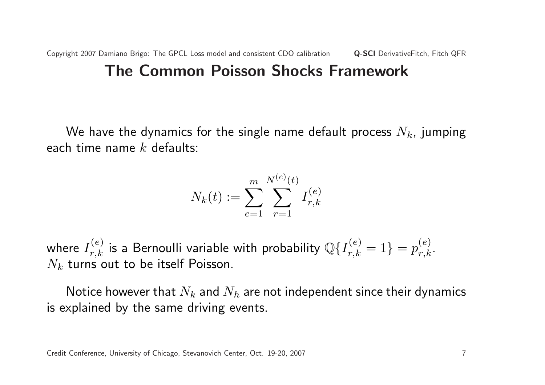### The Common Poisson Shocks Framework

We have the dynamics for the single name default process  $N_k$ , jumping each time name  $k$  defaults:

$$
N_k(t) := \sum_{e=1}^{m} \sum_{r=1}^{N^{(e)}(t)} I_{r,k}^{(e)}
$$

where  $I_{r,k}^{(e)}$  is a Bernoulli variable with probability  $\mathbb{Q}\{I_{r,k}^{(e)}=1\}=p_{r,k}^{(e)}.$  $N_k$  turns out to be itself Poisson.

Notice however that  $N_k$  and  $N_h$  are not independent since their dynamics is explained by the same driving events.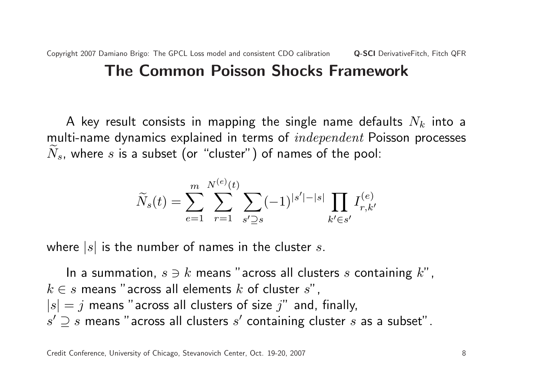## The Common Poisson Shocks Framework

A key result consists in mapping the single name defaults  $N_k$  into a multi-name dynamics explained in terms of *independent* Poisson processes  $N_s$ , where s is a subset (or "cluster") of names of the pool:

$$
\widetilde{N}_s(t) = \sum_{e=1}^m \sum_{r=1}^{N^{(e)}(t)} \sum_{s' \supseteq s} (-1)^{|s'|-|s|} \prod_{k' \in s'} I_{r,k'}^{(e)}
$$

where  $|s|$  is the number of names in the cluster s.

In a summation,  $s \ni k$  means "across all clusters s containing  $k$ ",  $k \in s$  means "across all elements k of cluster s",  $|s| = j$  means "across all clusters of size  $j$ " and, finally,  $s' \supseteq s$  means "across all clusters  $s'$  containing cluster  $s$  as a subset".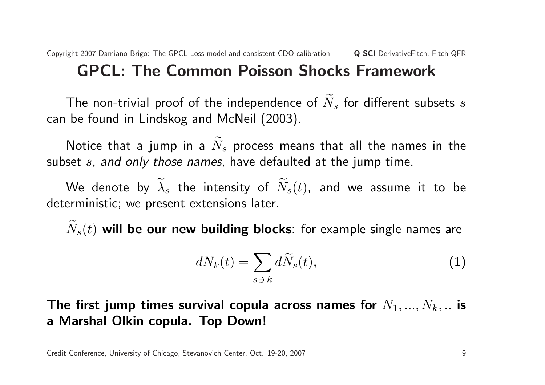## GPCL: The Common Poisson Shocks Framework

The non-trivial proof of the independence of  $N_s$  for different subsets s can be found in Lindskog and McNeil (2003).

Notice that a jump in a  $\widetilde{N}_s$  process means that all the names in the subset s, and only those names, have defaulted at the jump time.

We denote by  $\widetilde{\lambda}_s$  the intensity of  $\widetilde{N}_s(t)$ , and we assume it to be deterministic; we present extensions later.

 $\widetilde{N}_s(t)$  will be our new building blocks: for example single names are

$$
dN_k(t) = \sum_{s \ni k} d\widetilde{N}_s(t),\tag{1}
$$

The first jump times survival copula across names for  $N_1, ..., N_k, ...$  is a Marshal Olkin copula. Top Down!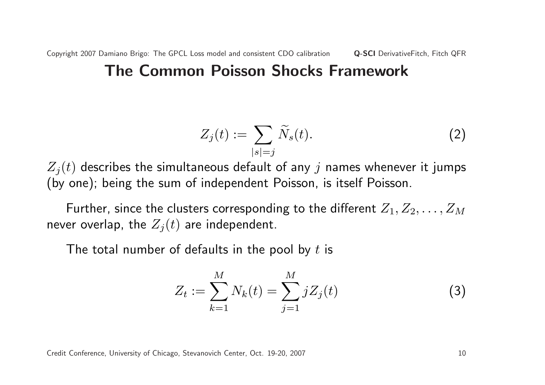### The Common Poisson Shocks Framework

$$
Z_j(t) := \sum_{|s|=j} \widetilde{N}_s(t). \tag{2}
$$

 $Z_i(t)$  describes the simultaneous default of any j names whenever it jumps (by one); being the sum of independent Poisson, is itself Poisson.

Further, since the clusters corresponding to the different  $Z_1, Z_2, \ldots, Z_M$ never overlap, the  $Z_j(t)$  are independent.

The total number of defaults in the pool by  $t$  is

$$
Z_t := \sum_{k=1}^{M} N_k(t) = \sum_{j=1}^{M} j Z_j(t)
$$
 (3)

Credit Conference, University of Chicago, Stevanovich Center, Oct. 19-20, 2007 10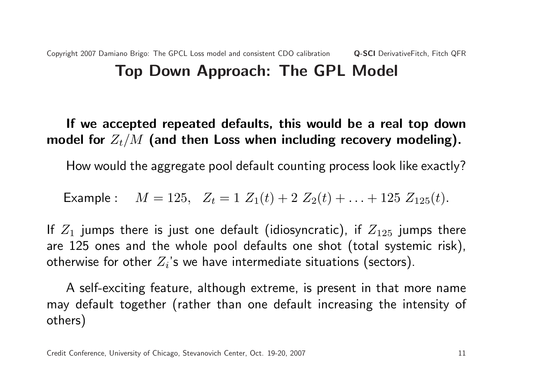#### Copyright 2007 Damiano Brigo: The GPCL Loss model and consistent CDO calibration Q-SCI DerivativeFitch, Fitch QFR Top Down Approach: The GPL Model

If we accepted repeated defaults, this would be a real top down model for  $Z_t/M$  (and then Loss when including recovery modeling).

How would the aggregate pool default counting process look like exactly?

Example :  $M = 125$ ,  $Z_t = 1 Z_1(t) + 2 Z_2(t) + ... + 125 Z_{125}(t)$ .

If  $Z_1$  jumps there is just one default (idiosyncratic), if  $Z_{125}$  jumps there are 125 ones and the whole pool defaults one shot (total systemic risk), otherwise for other  $Z_i$ 's we have intermediate situations (sectors).

A self-exciting feature, although extreme, is present in that more name may default together (rather than one default increasing the intensity of others)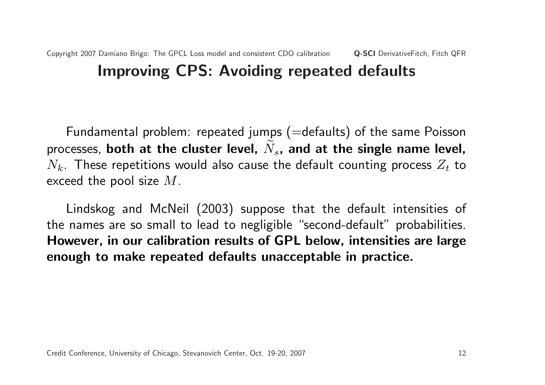### Copyright 2007 Damiano Brigo: The GPCL Loss model and consistent CDO calibration Q-SCI DerivativeFitch, Fitch QFR Improving CPS: Avoiding repeated defaults

Fundamental problem: repeated jumps (=defaults) of the same Poisson processes, both at the cluster level,  $N_s$ , and at the single name level,  $N_k$ . These repetitions would also cause the default counting process  $Z_t$  to exceed the pool size  $M$ .

Lindskog and McNeil (2003) suppose that the default intensities of the names are so small to lead to negligible "second-default" probabilities. However, in our calibration results of GPL below, intensities are large enough to make repeated defaults unacceptable in practice.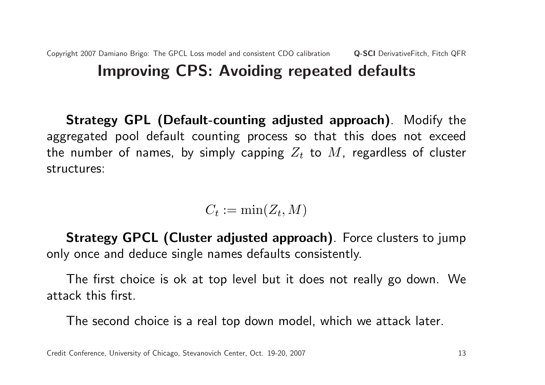#### Copyright 2007 Damiano Brigo: The GPCL Loss model and consistent CDO calibration Q-SCI DerivativeFitch, Fitch QFR Improving CPS: Avoiding repeated defaults

Strategy GPL (Default-counting adjusted approach). Modify the aggregated pool default counting process so that this does not exceed the number of names, by simply capping  $Z_t$  to  $M$ , regardless of cluster structures:

$$
C_t := \min(Z_t, M)
$$

Strategy GPCL (Cluster adjusted approach). Force clusters to jump only once and deduce single names defaults consistently.

The first choice is ok at top level but it does not really go down. We attack this first.

The second choice is a real top down model, which we attack later.

Credit Conference, University of Chicago, Stevanovich Center, Oct. 19-20, 2007 13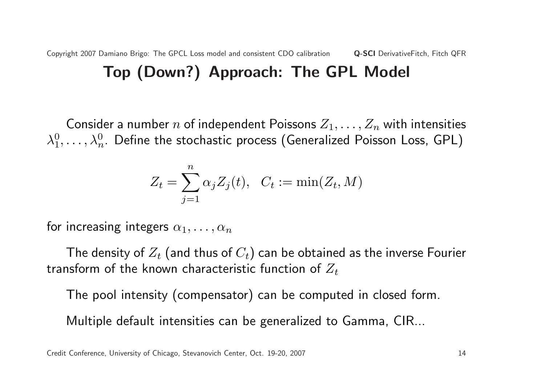#### Copyright 2007 Damiano Brigo: The GPCL Loss model and consistent CDO calibration **Q-SCI** DerivativeFitch, Fitch QFR Top (Down?) Approach: The GPL Model

Consider a number n of independent Poissons  $Z_1, \ldots, Z_n$  with intensities  $\lambda_1^0$  $\lambda_1^0,\ldots,\lambda_n^0$  . Define the stochastic process (Generalized Poisson Loss, GPL)

$$
Z_t = \sum_{j=1}^n \alpha_j Z_j(t), \quad C_t := \min(Z_t, M)
$$

for increasing integers  $\alpha_1, \ldots, \alpha_n$ 

The density of  $Z_t$  (and thus of  $C_t$ ) can be obtained as the inverse Fourier transform of the known characteristic function of  $Z_t$ 

The pool intensity (compensator) can be computed in closed form.

Multiple default intensities can be generalized to Gamma, CIR...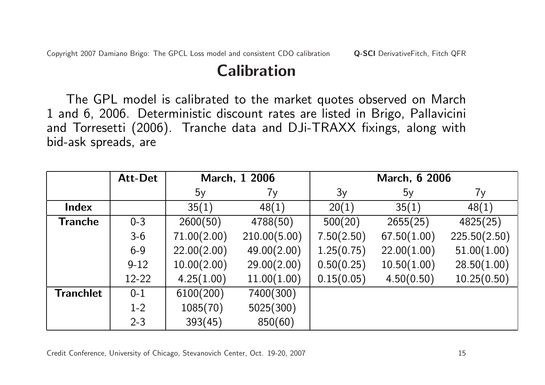## Calibration

The GPL model is calibrated to the market quotes observed on March 1 and 6, 2006. Deterministic discount rates are listed in Brigo, Pallavicini and Torresetti (2006). Tranche data and DJi-TRAXX fixings, along with bid-ask spreads, are

|                  | <b>Att-Det</b> |             | March, 1 2006 | <b>March, 6 2006</b> |             |              |  |
|------------------|----------------|-------------|---------------|----------------------|-------------|--------------|--|
|                  |                | 5y          | 7y            | 3y                   | 5y          | 7y           |  |
| Index            |                | 35(1)       | 48(1)         | 20(1)                | 35(1)       | 48(1)        |  |
| <b>Tranche</b>   | $0 - 3$        | 2600(50)    | 4788(50)      | 500(20)              | 2655(25)    | 4825(25)     |  |
|                  | $3-6$          | 71.00(2.00) | 210.00(5.00)  | 7.50(2.50)           | 67.50(1.00) | 225.50(2.50) |  |
|                  | $6 - 9$        | 22.00(2.00) | 49.00(2.00)   | 1.25(0.75)           | 22.00(1.00) | 51.00(1.00)  |  |
|                  | $9 - 12$       | 10.00(2.00) | 29.00(2.00)   | 0.50(0.25)           | 10.50(1.00) | 28.50(1.00)  |  |
|                  | $12-22$        | 4.25(1.00)  | 11.00(1.00)   | 0.15(0.05)           | 4.50(0.50)  | 10.25(0.50)  |  |
| <b>Tranchlet</b> | $0 - 1$        | 6100(200)   | 7400(300)     |                      |             |              |  |
|                  | $1 - 2$        | 1085(70)    | 5025(300)     |                      |             |              |  |
|                  | $2 - 3$        | 393(45)     | 850(60)       |                      |             |              |  |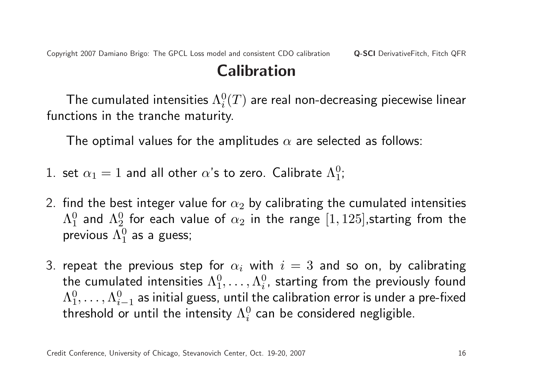Copyright 2007 Damiano Brigo: The GPCL Loss model and consistent CDO calibration Q-SCI DerivativeFitch, Fitch QFR

## Calibration

The cumulated intensities  $\Lambda^0_i$  $\frac{0}{i}(T)$  are real non-decreasing piecewise linear functions in the tranche maturity.

The optimal values for the amplitudes  $\alpha$  are selected as follows:

- 1. set  $\alpha_1=1$  and all other  $\alpha$ 's to zero. Calibrate  $\Lambda^0_1$  $_{1}^{0}$  ;
- 2. find the best integer value for  $\alpha_2$  by calibrating the cumulated intensities  $\Lambda_1^0$  $^0_1$  and  $\Lambda^0_2$  $^0_2$  for each value of  $\alpha_2$  in the range  $[1, 125]$ ,starting from the previous  $\Lambda_1^0$  $_{1}^{0}$  as a guess;
- 3. repeat the previous step for  $\alpha_i$  with  $i=3$  and so on, by calibrating the cumulated intensities  $\Lambda_1^0$  $\stackrel{0}{1}, \ldots, \Lambda^0_i$  $_i^0$ , starting from the previously found  $\Lambda_1^0$  $\stackrel{0}{1},\ldots,\Lambda^0_i$  $_{i-1}^0$  as initial guess, until the calibration error is under a pre-fixed threshold or until the intensity  $\Lambda^0_i$  $\frac{0}{i}$  can be considered negligible.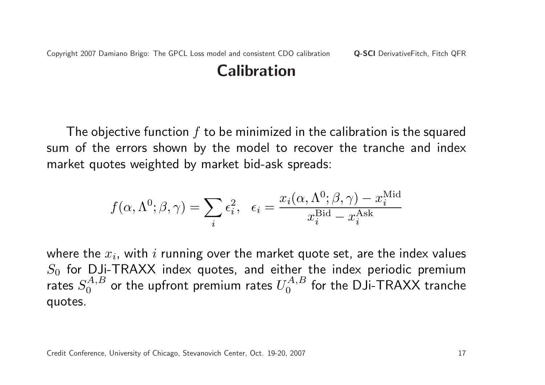## Calibration

The objective function  $f$  to be minimized in the calibration is the squared sum of the errors shown by the model to recover the tranche and index market quotes weighted by market bid-ask spreads:

$$
f(\alpha, \Lambda^0; \beta, \gamma) = \sum_i \epsilon_i^2, \quad \epsilon_i = \frac{x_i(\alpha, \Lambda^0; \beta, \gamma) - x_i^{\text{Mid}}}{x_i^{\text{Bid}} - x_i^{\text{Ask}}}
$$

where the  $x_i$ , with  $i$  running over the market quote set, are the index values  $S_0$  for DJi-TRAXX index quotes, and either the index periodic premium rates  $S_0^{A,B}$  $U_0^{A,B}$  or the upfront premium rates  $U_0^{A,B}$  $\mathcal{O}^{(A,B)}_0$  for the DJi-TRAXX tranche quotes.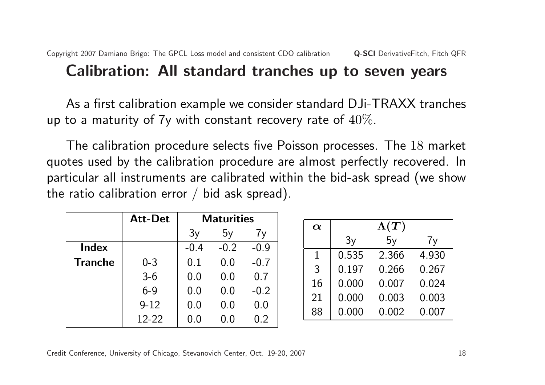### Calibration: All standard tranches up to seven years

As a first calibration example we consider standard DJi-TRAXX tranches up to a maturity of  $7y$  with constant recovery rate of  $40\%$ .

The calibration procedure selects five Poisson processes. The 18 market quotes used by the calibration procedure are almost perfectly recovered. In particular all instruments are calibrated within the bid-ask spread (we show the ratio calibration error  $/$  bid ask spread).

|                | <b>Att-Det</b> | <b>Maturities</b> |        |         |  |  |
|----------------|----------------|-------------------|--------|---------|--|--|
|                |                | 3y                | 5y     | 7y      |  |  |
| Index          |                | $-0.4$            | $-0.2$ | $-0.9$  |  |  |
| <b>Tranche</b> | $0 - 3$        | 0.1               | 0.0    | $-0.7$  |  |  |
|                | $3-6$          | 0.0               | 0.0    | 0.7     |  |  |
|                | $6 - 9$        | 0.0               | 0.0    | $-0.2$  |  |  |
|                | $9 - 12$       | 0.0               | 0.0    | $0.0\,$ |  |  |
|                | $12 - 22$      | 0.0               | 0.0    | 0.2     |  |  |

| $\alpha$    |       | $\Lambda(T)$ |       |
|-------------|-------|--------------|-------|
|             | 3y    | 5y           | 7y    |
| $\mathbf 1$ | 0.535 | 2.366        | 4.930 |
| 3           | 0.197 | 0.266        | 0.267 |
| 16          | 0.000 | 0.007        | 0.024 |
| 21          | 0.000 | 0.003        | 0.003 |
| 88          | 0.000 | 0.002        | 0.007 |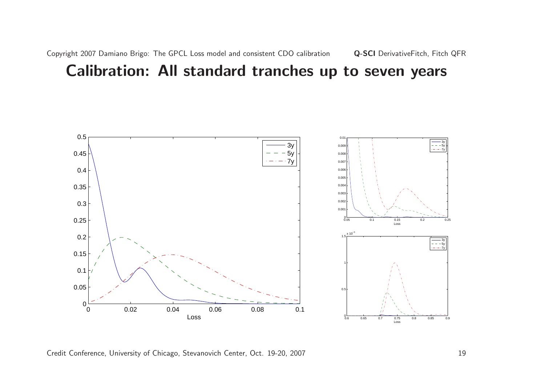### Calibration: All standard tranches up to seven years



Credit Conference, University of Chicago, Stevanovich Center, Oct. 19-20, 2007 19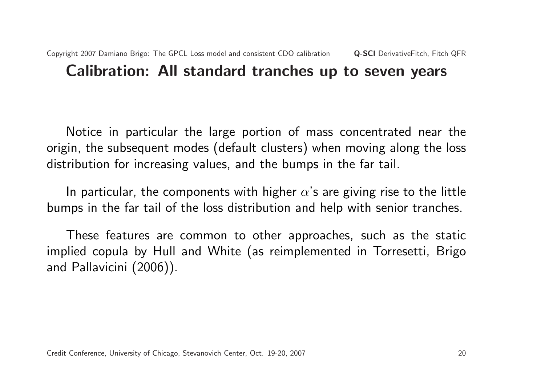Notice in particular the large portion of mass concentrated near the origin, the subsequent modes (default clusters) when moving along the loss distribution for increasing values, and the bumps in the far tail.

In particular, the components with higher  $\alpha$ 's are giving rise to the little bumps in the far tail of the loss distribution and help with senior tranches.

These features are common to other approaches, such as the static implied copula by Hull and White (as reimplemented in Torresetti, Brigo and Pallavicini (2006)).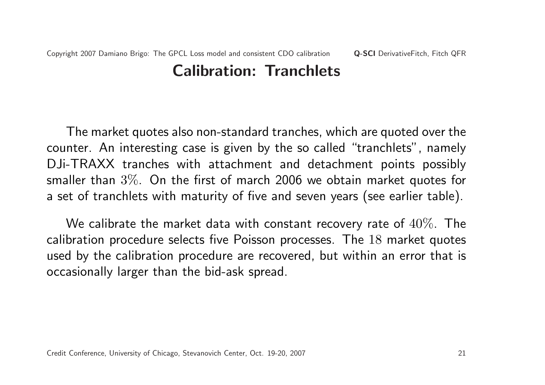## Calibration: Tranchlets

The market quotes also non-standard tranches, which are quoted over the counter. An interesting case is given by the so called "tranchlets", namely DJi-TRAXX tranches with attachment and detachment points possibly smaller than 3%. On the first of march 2006 we obtain market quotes for a set of tranchlets with maturity of five and seven years (see earlier table).

We calibrate the market data with constant recovery rate of  $40\%$ . The calibration procedure selects five Poisson processes. The 18 market quotes used by the calibration procedure are recovered, but within an error that is occasionally larger than the bid-ask spread.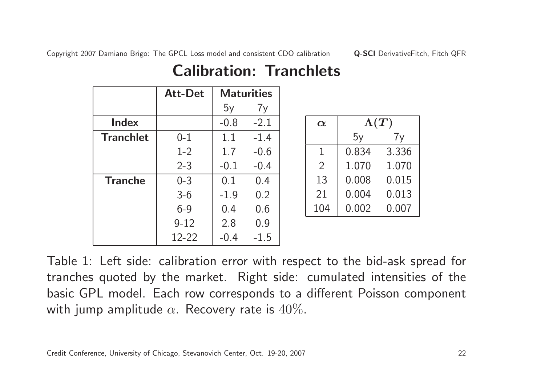|                  | <b>Att-Det</b> |        | <b>Maturities</b> |
|------------------|----------------|--------|-------------------|
|                  |                | 5y     | 7y                |
| <b>Index</b>     |                | $-0.8$ | $-2.1$            |
| <b>Tranchlet</b> | $0 - 1$        | 1.1    | $-1.4$            |
|                  | $1-2$          | 1.7    | $-0.6$            |
|                  | $2 - 3$        | $-0.1$ | $-0.4$            |
| <b>Tranche</b>   | $0 - 3$        | 0.1    | 0.4               |
|                  | $3 - 6$        | $-1.9$ | 0.2               |
|                  | $6 - 9$        | 0.4    | 0.6               |
|                  | $9 - 12$       | 2.8    | 0.9               |
|                  | 12-22          | $-0.4$ | $-1.5$            |

## Calibration: Tranchlets

| $\boldsymbol{\alpha}$ | $\Lambda(T)$ |       |  |  |  |
|-----------------------|--------------|-------|--|--|--|
|                       | 5y           | 7y    |  |  |  |
| 1                     | 0.834        | 3.336 |  |  |  |
| $\overline{2}$        | 1.070        | 1.070 |  |  |  |
| 13                    | 0.008        | 0.015 |  |  |  |
| 21                    | 0.004        | 0.013 |  |  |  |
| 104                   | 0.002        | 0.007 |  |  |  |

Table 1: Left side: calibration error with respect to the bid-ask spread for tranches quoted by the market. Right side: cumulated intensities of the basic GPL model. Each row corresponds to a different Poisson component with jump amplitude  $\alpha$ . Recovery rate is  $40\%$ .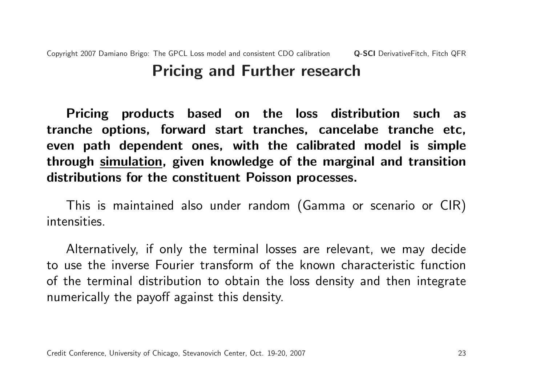#### Copyright 2007 Damiano Brigo: The GPCL Loss model and consistent CDO calibration Q-SCI DerivativeFitch, Fitch QFR Pricing and Further research

Pricing products based on the loss distribution such as tranche options, forward start tranches, cancelabe tranche etc, even path dependent ones, with the calibrated model is simple through simulation, given knowledge of the marginal and transition distributions for the constituent Poisson processes.

This is maintained also under random (Gamma or scenario or CIR) intensities.

Alternatively, if only the terminal losses are relevant, we may decide to use the inverse Fourier transform of the known characteristic function of the terminal distribution to obtain the loss density and then integrate numerically the payoff against this density.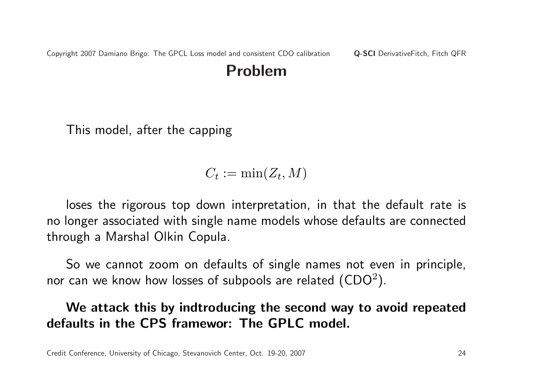### Problem

This model, after the capping

### $C_t := \min(Z_t, M)$

loses the rigorous top down interpretation, in that the default rate is no longer associated with single name models whose defaults are connected through a Marshal Olkin Copula.

So we cannot zoom on defaults of single names not even in principle, nor can we know how losses of subpools are related  $(CDO<sup>2</sup>)$ .

#### We attack this by indtroducing the second way to avoid repeated defaults in the CPS framewor: The GPLC model.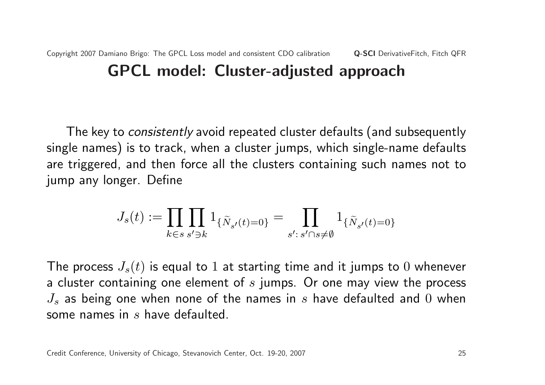The key to *consistently* avoid repeated cluster defaults (and subsequently single names) is to track, when a cluster jumps, which single-name defaults are triggered, and then force all the clusters containing such names not to jump any longer. Define

$$
J_s(t):=\prod_{k\in s}\prod_{s'\ni k}1_{\{\tilde{N}_{s'}(t)=0\}}=\prod_{s':\,s'\cap s\neq\emptyset}1_{\{\tilde{N}_{s'}(t)=0\}}
$$

The process  $J_s(t)$  is equal to 1 at starting time and it jumps to 0 whenever a cluster containing one element of  $s$  jumps. Or one may view the process  $J_s$  as being one when none of the names in s have defaulted and 0 when some names in s have defaulted.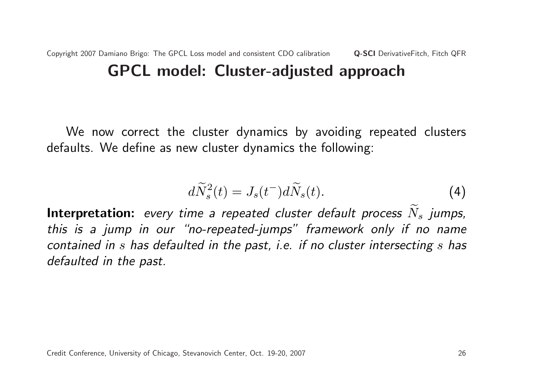#### Copyright 2007 Damiano Brigo: The GPCL Loss model and consistent CDO calibration Q-SCI DerivativeFitch, Fitch QFR GPCL model: Cluster-adjusted approach

We now correct the cluster dynamics by avoiding repeated clusters defaults. We define as new cluster dynamics the following:

$$
d\widetilde{N}_s^2(t) = J_s(t^-)d\widetilde{N}_s(t). \tag{4}
$$

Interpretation: every time a repeated cluster default process  $N_s$  jumps, this is a jump in our "no-repeated-jumps" framework only if no name contained in s has defaulted in the past, i.e. if no cluster intersecting s has defaulted in the past.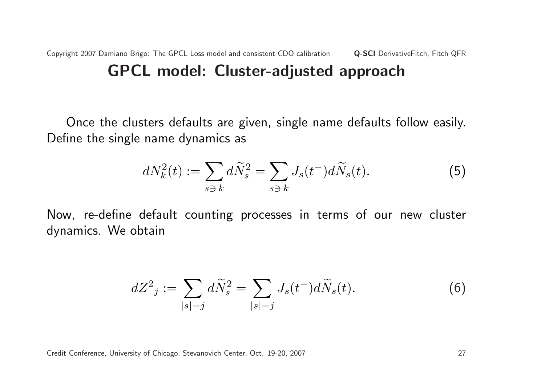Copyright 2007 Damiano Brigo: The GPCL Loss model and consistent CDO calibration Q-SCI DerivativeFitch, Fitch QFR GPCL model: Cluster-adjusted approach

Once the clusters defaults are given, single name defaults follow easily. Define the single name dynamics as

$$
dN_k^2(t) := \sum_{s \ni k} d\widetilde{N}_s^2 = \sum_{s \ni k} J_s(t^-) d\widetilde{N}_s(t).
$$
 (5)

Now, re-define default counting processes in terms of our new cluster dynamics. We obtain

$$
dZ^{2}{}_{j} := \sum_{|s|=j} d\widetilde{N}_{s}^{2} = \sum_{|s|=j} J_{s}(t^{-}) d\widetilde{N}_{s}(t).
$$
 (6)

Credit Conference, University of Chicago, Stevanovich Center, Oct. 19-20, 2007 27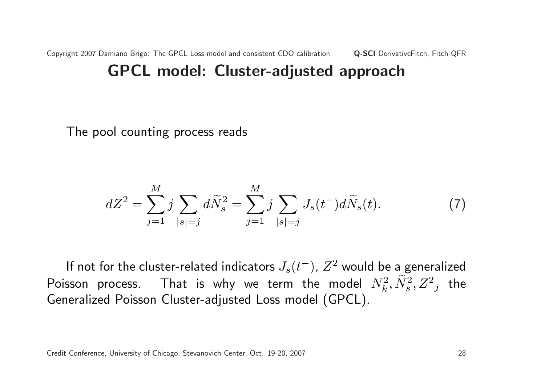The pool counting process reads

$$
dZ^{2} = \sum_{j=1}^{M} j \sum_{|s|=j} d\widetilde{N}_{s}^{2} = \sum_{j=1}^{M} j \sum_{|s|=j} J_{s}(t^{-}) d\widetilde{N}_{s}(t).
$$
 (7)

If not for the cluster-related indicators  $J_s(t^-)$ ,  $Z^2$  would be a generalized Poisson process. That is why we term the model  $N_k^2, \widetilde N_s^2, Z^2{}_j$  the Generalized Poisson Cluster-adjusted Loss model (GPCL).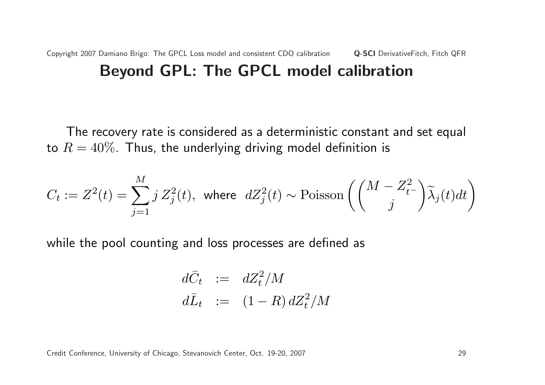The recovery rate is considered as a deterministic constant and set equal to  $R = 40\%$ . Thus, the underlying driving model definition is

$$
C_t := Z^2(t) = \sum_{j=1}^M j Z_j^2(t), \text{ where } dZ_j^2(t) \sim \text{Poisson}\left(\binom{M - Z_t^2}{j} \widetilde{\lambda}_j(t) dt\right)
$$

while the pool counting and loss processes are defined as

$$
d\bar{C}_t := dZ_t^2/M
$$
  

$$
d\bar{L}_t := (1 - R) dZ_t^2/M
$$

Credit Conference, University of Chicago, Stevanovich Center, Oct. 19-20, 2007 29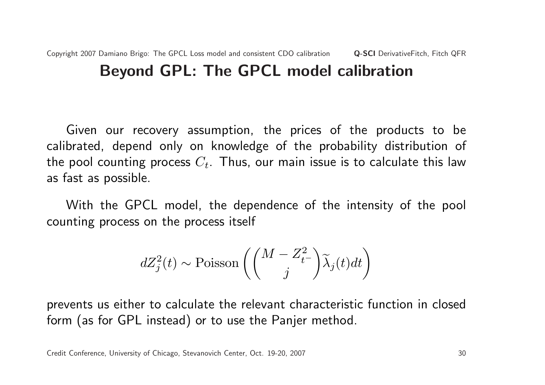Given our recovery assumption, the prices of the products to be calibrated, depend only on knowledge of the probability distribution of the pool counting process  $C_t$ . Thus, our main issue is to calculate this law as fast as possible.

With the GPCL model, the dependence of the intensity of the pool counting process on the process itself

$$
dZ_j^2(t) \sim \text{Poisson}\left(\binom{M-Z_{t^-}^2}{j}\widetilde{\lambda}_j(t)dt\right)
$$

prevents us either to calculate the relevant characteristic function in closed form (as for GPL instead) or to use the Panjer method.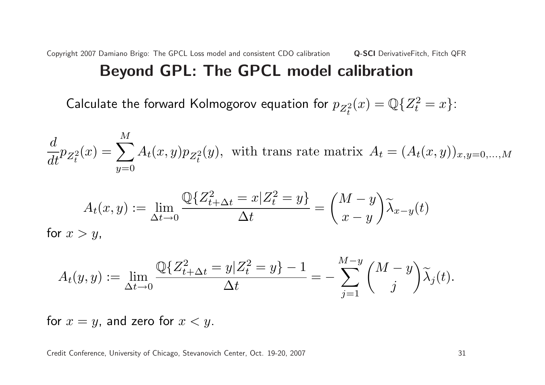Calculate the forward Kolmogorov equation for  $p_{Z^2_t}$  $(x) = \mathbb{Q}\{Z_t^2 = x\}$ :

$$
\frac{d}{dt} p_{Z_t^2}(x) = \sum_{y=0}^{M} A_t(x, y) p_{Z_t^2}(y)
$$
, with trans rate matrix  $A_t = (A_t(x, y))_{x, y=0,...,M}$ 

$$
A_t(x,y) := \lim_{\Delta t \to 0} \frac{\mathbb{Q}\{Z_{t+\Delta t}^2 = x | Z_t^2 = y\}}{\Delta t} = \binom{M-y}{x-y} \widetilde{\lambda}_{x-y}(t)
$$
 for  $x > y$ ,

$$
A_t(y, y) := \lim_{\Delta t \to 0} \frac{\mathbb{Q}\{Z_{t+\Delta t}^2 = y | Z_t^2 = y\} - 1}{\Delta t} = -\sum_{j=1}^{M-y} {M - y \choose j} \widetilde{\lambda}_j(t).
$$

for  $x = y$ , and zero for  $x < y$ .

Credit Conference, University of Chicago, Stevanovich Center, Oct. 19-20, 2007 31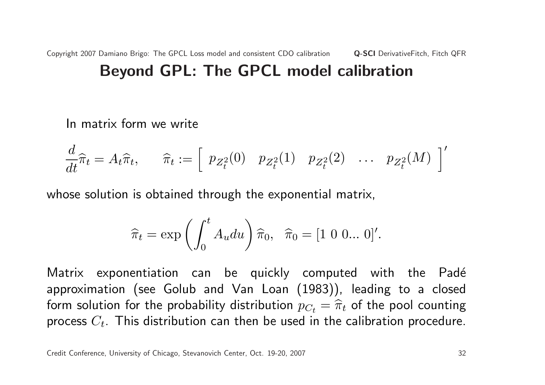In matrix form we write

$$
\frac{d}{dt}\widehat{\pi}_t = A_t\widehat{\pi}_t, \qquad \widehat{\pi}_t := \left[\begin{array}{cccc} p_{Z_t^2}(0) & p_{Z_t^2}(1) & p_{Z_t^2}(2) & \dots & p_{Z_t^2}(M) \end{array}\right]'
$$

whose solution is obtained through the exponential matrix,

$$
\widehat{\pi}_t = \exp\left(\int_0^t A_u du\right) \widehat{\pi}_0, \quad \widehat{\pi}_0 = [1 \ 0 \ 0 \dots 0]'
$$

Matrix exponentiation can be quickly computed with the Padé approximation (see Golub and Van Loan (1983)), leading to a closed form solution for the probability distribution  $p_{C_t} = \widehat{\pi}_t$  of the pool counting process  $C_t$ . This distribution can then be used in the calibration procedure.

Credit Conference, University of Chicago, Stevanovich Center, Oct. 19-20, 2007 32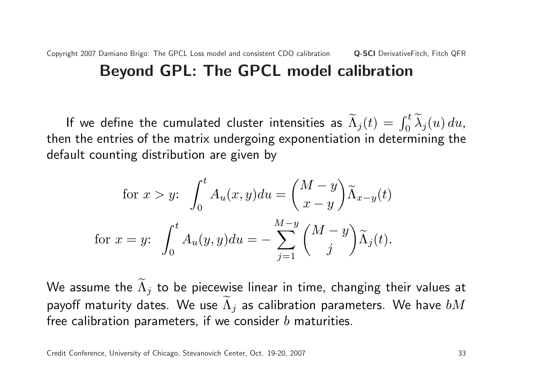If we define the cumulated cluster intensities as  $\widetilde{\Lambda}_{j}(t)=\int_{0}^{t}\widetilde{\lambda}_{j}(u)\,du$ , then the entries of the matrix undergoing exponentiation in determining the default counting distribution are given by

for 
$$
x > y
$$
:  $\int_0^t A_u(x, y) du = \left(\frac{M-y}{x-y}\right) \widetilde{\Lambda}_{x-y}(t)$   
for  $x = y$ :  $\int_0^t A_u(y, y) du = -\sum_{j=1}^{M-y} \left(\frac{M-y}{j}\right) \widetilde{\Lambda}_j(t)$ .

We assume the  $\widetilde{\Lambda}_j$  to be piecewise linear in time, changing their values at payoff maturity dates. We use  $\widetilde{\Lambda}_j$  as calibration parameters. We have  $bM$ free calibration parameters, if we consider  $b$  maturities.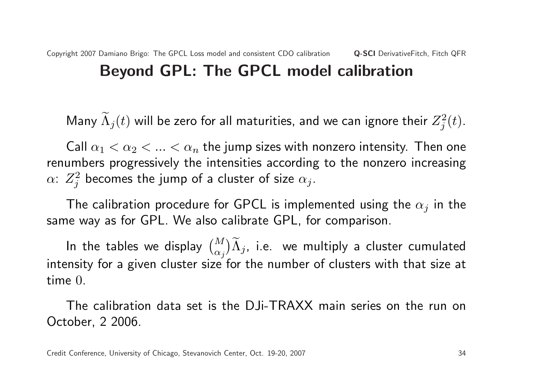Many  $\widetilde{\Lambda}_{j}(t)$  will be zero for all maturities, and we can ignore their  $Z_{j}^{2}$  $j^2(t)$ .

Call  $\alpha_1 < \alpha_2 < ... < \alpha_n$  the jump sizes with nonzero intensity. Then one renumbers progressively the intensities according to the nonzero increasing  $\alpha$ :  $Z_i^2$  $j^2_j$  becomes the jump of a cluster of size  $\alpha_j.$ 

The calibration procedure for GPCL is implemented using the  $\alpha_i$  in the same way as for GPL. We also calibrate GPL, for comparison.

In the tables we display  $\binom{M}{\infty}$  $\alpha_j$  $\mathbf{r}$  $\widetilde{\Lambda}_j$ , i.e. we multiply a cluster cumulated intensity for a given cluster size for the number of clusters with that size at time 0.

The calibration data set is the DJi-TRAXX main series on the run on October, 2 2006.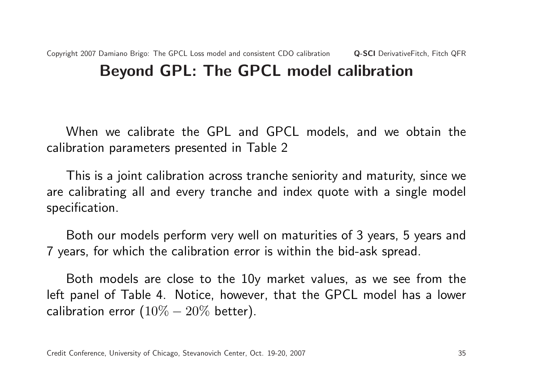When we calibrate the GPL and GPCL models, and we obtain the calibration parameters presented in Table 2

This is a joint calibration across tranche seniority and maturity, since we are calibrating all and every tranche and index quote with a single model specification.

Both our models perform very well on maturities of 3 years, 5 years and 7 years, for which the calibration error is within the bid-ask spread.

Both models are close to the 10y market values, as we see from the left panel of Table 4. Notice, however, that the GPCL model has a lower calibration error  $(10\% - 20\%$  better).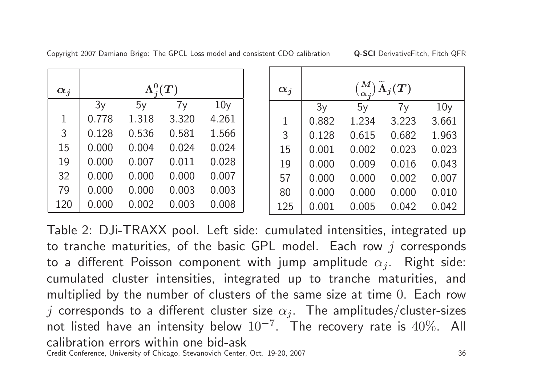| $\alpha_i$ |       | $\Lambda^0_i(T)$ |       |                 |  | $\alpha_i$ |       |       |       |                 |
|------------|-------|------------------|-------|-----------------|--|------------|-------|-------|-------|-----------------|
|            | 3y    | 5y               | 7y    | 10 <sub>V</sub> |  |            | 3y    | 5y    | 7y    | 10 <sub>V</sub> |
|            | 0.778 | 1.318            | 3.320 | 4.261           |  |            | 0.882 | 1.234 | 3.223 | 3.661           |
| 3          | 0.128 | 0.536            | 0.581 | 1.566           |  | 3          | 0.128 | 0.615 | 0.682 | 1.963           |
| 15         | 0.000 | 0.004            | 0.024 | 0.024           |  | 15         | 0.001 | 0.002 | 0.023 | 0.023           |
| 19         | 0.000 | 0.007            | 0.011 | 0.028           |  | 19         | 0.000 | 0.009 | 0.016 | 0.043           |
| 32         | 0.000 | 0.000            | 0.000 | 0.007           |  | 57         | 0.000 | 0.000 | 0.002 | 0.007           |
| 79         | 0.000 | 0.000            | 0.003 | 0.003           |  | 80         | 0.000 | 0.000 | 0.000 | 0.010           |
| 120        | 0.000 | 0.002            | 0.003 | 0.008           |  | 125        | 0.001 | 0.005 | 0.042 | 0.042           |

Copyright 2007 Damiano Brigo: The GPCL Loss model and consistent CDO calibration **Q-SCI** DerivativeFitch, Fitch QFR

Table 2: DJi-TRAXX pool. Left side: cumulated intensities, integrated up to tranche maturities, of the basic GPL model. Each row  $j$  corresponds to a different Poisson component with jump amplitude  $\alpha_j$ . Right side: cumulated cluster intensities, integrated up to tranche maturities, and multiplied by the number of clusters of the same size at time 0. Each row j corresponds to a different cluster size  $\alpha_j$ . The amplitudes/cluster-sizes not listed have an intensity below  $10^{-7}$ . The recovery rate is  $40\%$ . All calibration errors within one bid-ask Credit Conference, University of Chicago, Stevanovich Center, Oct. 19-20, 2007 36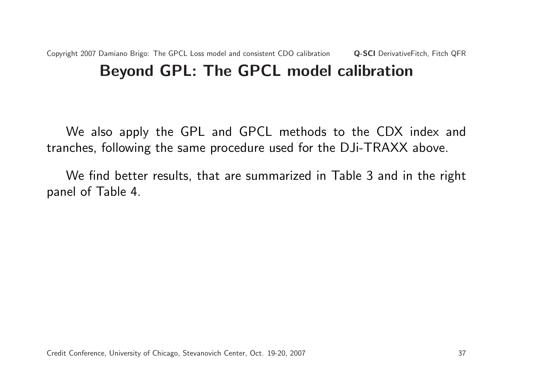We also apply the GPL and GPCL methods to the CDX index and tranches, following the same procedure used for the DJi-TRAXX above.

We find better results, that are summarized in Table 3 and in the right panel of Table 4.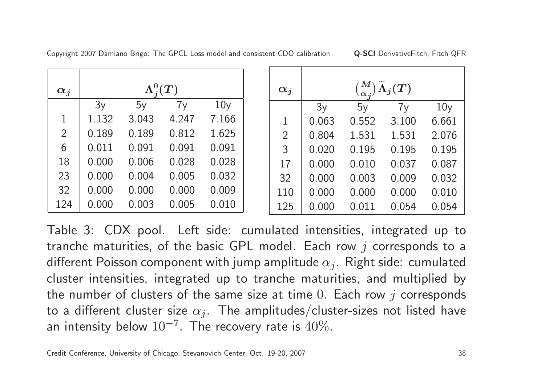| $\alpha_j$ | $\Lambda^0_i(T)$ |       |       | $\alpha_j$      |                |       | $\binom{M}{\alpha_{\boldsymbol{j}}} \widetilde{\Lambda}_{\boldsymbol{j}}(\boldsymbol{T})$ |       |                 |
|------------|------------------|-------|-------|-----------------|----------------|-------|-------------------------------------------------------------------------------------------|-------|-----------------|
|            | 3y               | 5y    | 7y    | 10 <sub>V</sub> |                | 3y    | 5y                                                                                        | 7y    | 10 <sub>V</sub> |
|            | 1.132            | 3.043 | 4.247 | 7.166           |                | 0.063 | 0.552                                                                                     | 3.100 | 6.661           |
| 2          | 0.189            | 0.189 | 0.812 | 1.625           | $\overline{2}$ | 0.804 | 1.531                                                                                     | 1.531 | 2.076           |
| 6          | 0.011            | 0.091 | 0.091 | 0.091           | 3              | 0.020 | 0.195                                                                                     | 0.195 | 0.195           |
| 18         | 0.000            | 0.006 | 0.028 | 0.028           | 17             | 0.000 | 0.010                                                                                     | 0.037 | 0.087           |
| 23         | 0.000            | 0.004 | 0.005 | 0.032           | 32             | 0.000 | 0.003                                                                                     | 0.009 | 0.032           |
| 32         | 0.000            | 0.000 | 0.000 | 0.009           | 110            | 0.000 | 0.000                                                                                     | 0.000 | 0.010           |
| 124        | 0.000            | 0.003 | 0.005 | 0.010           | 125            | 0.000 | 0.011                                                                                     | 0.054 | 0.054           |

Copyright 2007 Damiano Brigo: The GPCL Loss model and consistent CDO calibration **Q-SCI** DerivativeFitch, Fitch QFR

Table 3: CDX pool. Left side: cumulated intensities, integrated up to tranche maturities, of the basic GPL model. Each row  $j$  corresponds to a different Poisson component with jump amplitude  $\alpha_j$ . Right side: cumulated cluster intensities, integrated up to tranche maturities, and multiplied by the number of clusters of the same size at time  $0$ . Each row  $j$  corresponds to a different cluster size  $\alpha_i$ . The amplitudes/cluster-sizes not listed have an intensity below  $10^{-7}$ . The recovery rate is  $40\%$ .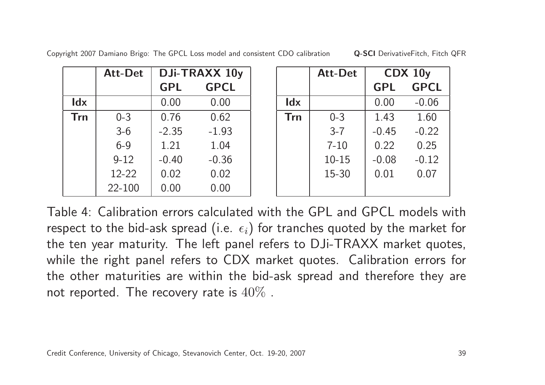|  | Copyright 2007 Damiano Brigo: The GPCL Loss model and consistent CDO calibration | <b>Q-SCI</b> DerivativeFitch, Fitch QFR |
|--|----------------------------------------------------------------------------------|-----------------------------------------|
|--|----------------------------------------------------------------------------------|-----------------------------------------|

|            | Att-Det   |            | DJi-TRAXX 10y |            | <b>Att-Det</b> | $CDX$ 10 $y$ |             |
|------------|-----------|------------|---------------|------------|----------------|--------------|-------------|
|            |           | <b>GPL</b> | <b>GPCL</b>   |            |                | <b>GPL</b>   | <b>GPCL</b> |
| <b>Idx</b> |           | 0.00       | 0.00          | <b>Idx</b> |                | 0.00         | $-0.06$     |
| <b>Trn</b> | $0 - 3$   | 0.76       | 0.62          | <b>Trn</b> | $0 - 3$        | 1.43         | 1.60        |
|            | $3-6$     | $-2.35$    | $-1.93$       |            | $3 - 7$        | $-0.45$      | $-0.22$     |
|            | $6 - 9$   | 1.21       | 1.04          |            | $7 - 10$       | 0.22         | 0.25        |
|            | $9 - 12$  | $-0.40$    | $-0.36$       |            | $10 - 15$      | $-0.08$      | $-0.12$     |
|            | $12 - 22$ | 0.02       | 0.02          |            | 15-30          | 0.01         | 0.07        |
|            | 22-100    | 0.00       | 0.00          |            |                |              |             |

| Table 4: Calibration errors calculated with the GPL and GPCL models with                 |
|------------------------------------------------------------------------------------------|
| respect to the bid-ask spread (i.e. $\epsilon_i$ ) for tranches quoted by the market for |
| the ten year maturity. The left panel refers to DJi-TRAXX market quotes,                 |
| while the right panel refers to CDX market quotes. Calibration errors for                |
| the other maturities are within the bid-ask spread and therefore they are                |
| not reported. The recovery rate is $40\%$ .                                              |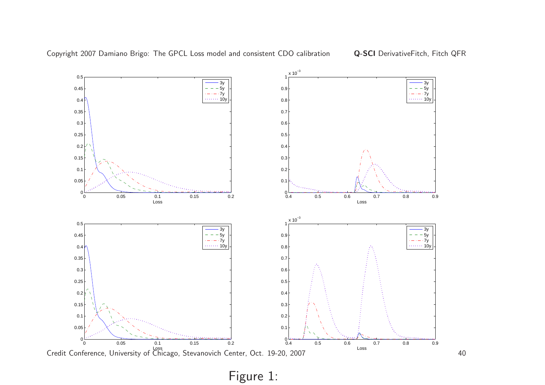



Figure 1: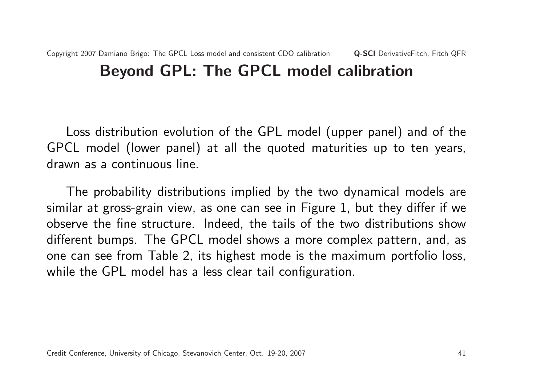Loss distribution evolution of the GPL model (upper panel) and of the GPCL model (lower panel) at all the quoted maturities up to ten years, drawn as a continuous line.

The probability distributions implied by the two dynamical models are similar at gross-grain view, as one can see in Figure 1, but they differ if we observe the fine structure. Indeed, the tails of the two distributions show different bumps. The GPCL model shows a more complex pattern, and, as one can see from Table 2, its highest mode is the maximum portfolio loss, while the GPL model has a less clear tail configuration.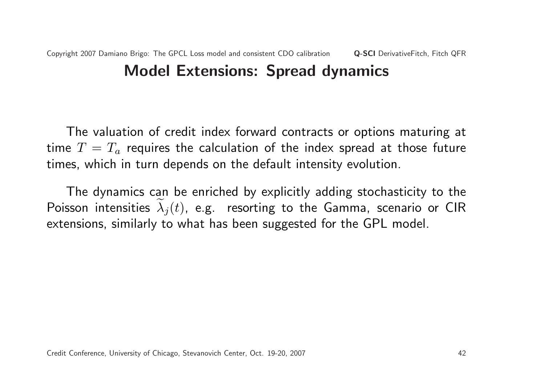### Copyright 2007 Damiano Brigo: The GPCL Loss model and consistent CDO calibration Q-SCI DerivativeFitch, Fitch QFR Model Extensions: Spread dynamics

The valuation of credit index forward contracts or options maturing at time  $T = T_a$  requires the calculation of the index spread at those future times, which in turn depends on the default intensity evolution.

The dynamics can be enriched by explicitly adding stochasticity to the Poisson intensities  $\lambda_i(t)$ , e.g. resorting to the Gamma, scenario or CIR extensions, similarly to what has been suggested for the GPL model.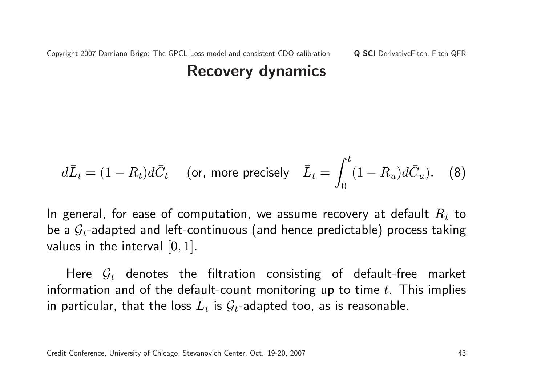$$
d\overline{L}_t = (1 - R_t)d\overline{C}_t \quad \text{(or, more precisely} \quad \overline{L}_t = \int_0^t (1 - R_u)d\overline{C}_u. \quad \text{(8)}
$$

In general, for ease of computation, we assume recovery at default  $R_t$  to be a  $\mathcal{G}_t$ -adapted and left-continuous (and hence predictable) process taking values in the interval  $[0, 1]$ .

Here  $\mathcal{G}_t$  denotes the filtration consisting of default-free market information and of the default-count monitoring up to time  $t$ . This implies in particular, that the loss  $\bar{L}_t$  is  $\mathcal{G}_t$ -adapted too, as is reasonable.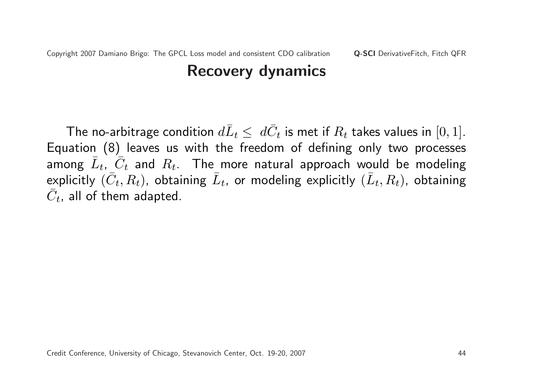The no-arbitrage condition  $d\bar{L}_t \leq \ d\bar{C}_t$  is met if  $R_t$  takes values in  $[0,1].$ Equation (8) leaves us with the freedom of defining only two processes among  $\overline{L}_t$ ,  $\overline{\tilde{C}}_t$  and  $R_t$ . The more natural approach would be modeling explicitly  $(\bar{C}_t, R_t)$ , obtaining  $\bar{L}_t$ , or modeling explicitly  $(\bar{L}_t, R_t)$ , obtaining  $\overline{C}_t$ , all of them adapted.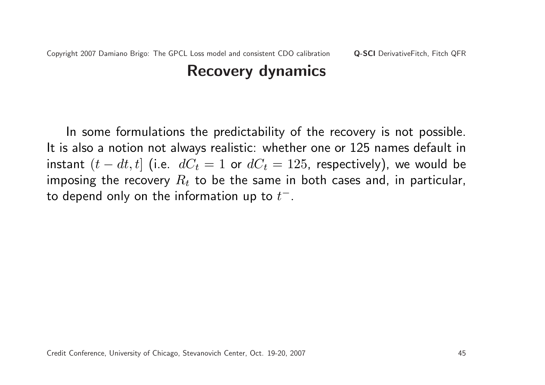In some formulations the predictability of the recovery is not possible. It is also a notion not always realistic: whether one or 125 names default in instant  $(t - dt, t]$  (i.e.  $dC_t = 1$  or  $dC_t = 125$ , respectively), we would be imposing the recovery  $R_t$  to be the same in both cases and, in particular, to depend only on the information up to  $t^{\pm}.$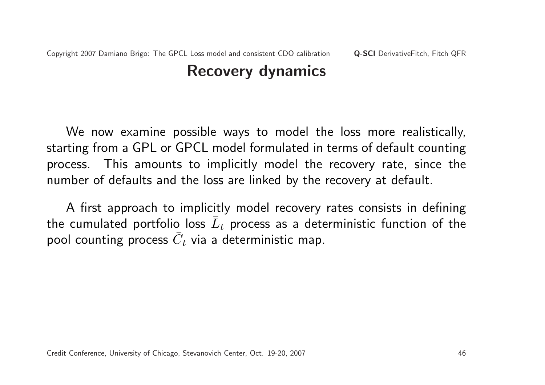We now examine possible ways to model the loss more realistically, starting from a GPL or GPCL model formulated in terms of default counting process. This amounts to implicitly model the recovery rate, since the number of defaults and the loss are linked by the recovery at default.

A first approach to implicitly model recovery rates consists in defining the cumulated portfolio loss  $\bar{L}_t$  process as a deterministic function of the pool counting process  $\bar{C}_t$  via a deterministic map.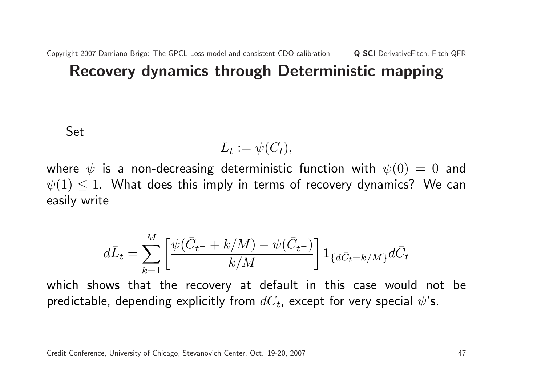Set

$$
\bar{L}_t := \psi(\bar{C}_t),
$$

where  $\psi$  is a non-decreasing deterministic function with  $\psi(0) = 0$  and  $\psi(1) \leq 1$ . What does this imply in terms of recovery dynamics? We can easily write

$$
d\bar{L}_t = \sum_{k=1}^{M} \left[ \frac{\psi(\bar{C}_{t^-} + k/M) - \psi(\bar{C}_{t^-})}{k/M} \right] 1_{\{d\bar{C}_{t} = k/M\}} d\bar{C}_t
$$

which shows that the recovery at default in this case would not be predictable, depending explicitly from  $dC_t$ , except for very special  $\psi$ 's.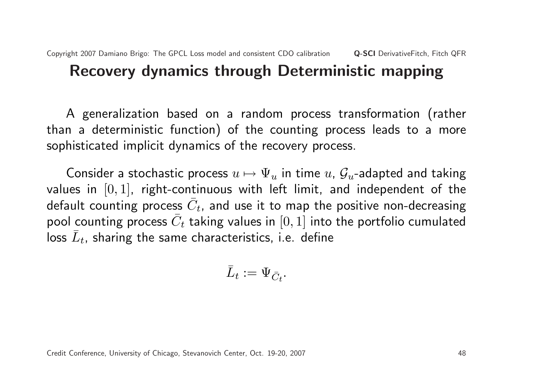#### A generalization based on a random process transformation (rather than a deterministic function) of the counting process leads to a more sophisticated implicit dynamics of the recovery process.

Consider a stochastic process  $u \mapsto \Psi_u$  in time  $u$ ,  $\mathcal{G}_u$ -adapted and taking values in  $[0, 1]$ , right-continuous with left limit, and independent of the default counting process  $\bar{C}_t$ , and use it to map the positive non-decreasing pool counting process  $\bar{C}_t$  taking values in  $[0,1]$  into the portfolio cumulated  $\bar{L}_t$ , sharing the same characteristics, i.e. define

$$
\bar{L}_t:=\Psi_{\bar{C}_t}.
$$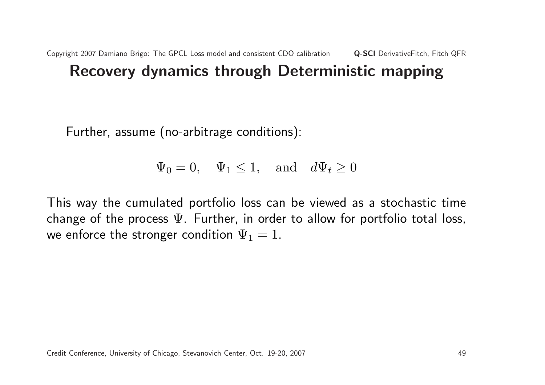Further, assume (no-arbitrage conditions):

 $\Psi_0 = 0$ ,  $\Psi_1 \leq 1$ , and  $d\Psi_t \geq 0$ 

This way the cumulated portfolio loss can be viewed as a stochastic time change of the process  $\Psi$ . Further, in order to allow for portfolio total loss, we enforce the stronger condition  $\Psi_1 = 1$ .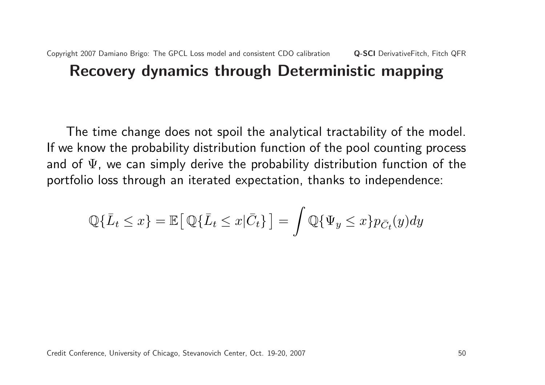The time change does not spoil the analytical tractability of the model. If we know the probability distribution function of the pool counting process and of  $\Psi$ , we can simply derive the probability distribution function of the portfolio loss through an iterated expectation, thanks to independence:

$$
\mathbb{Q}\{\bar{L}_t \le x\} = \mathbb{E}\big[\mathbb{Q}\{\bar{L}_t \le x|\bar{C}_t\}\big] = \int \mathbb{Q}\{\Psi_y \le x\}p_{\bar{C}_t}(y)dy
$$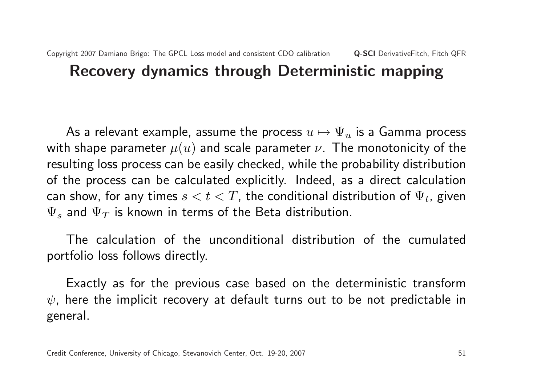As a relevant example, assume the process  $u \mapsto \Psi_u$  is a Gamma process with shape parameter  $\mu(u)$  and scale parameter  $\nu$ . The monotonicity of the resulting loss process can be easily checked, while the probability distribution of the process can be calculated explicitly. Indeed, as a direct calculation can show, for any times  $s < t < T$ , the conditional distribution of  $\Psi_t$ , given  $\Psi_s$  and  $\Psi_T$  is known in terms of the Beta distribution.

The calculation of the unconditional distribution of the cumulated portfolio loss follows directly.

Exactly as for the previous case based on the deterministic transform  $\psi$ , here the implicit recovery at default turns out to be not predictable in general.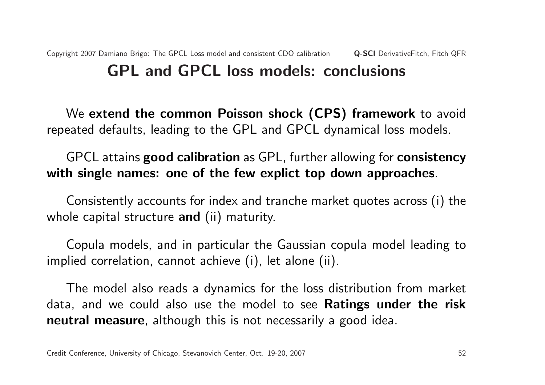#### Copyright 2007 Damiano Brigo: The GPCL Loss model and consistent CDO calibration Q-SCI DerivativeFitch, Fitch QFR GPL and GPCL loss models: conclusions

We extend the common Poisson shock (CPS) framework to avoid repeated defaults, leading to the GPL and GPCL dynamical loss models.

#### GPCL attains good calibration as GPL, further allowing for consistency with single names: one of the few explict top down approaches.

Consistently accounts for index and tranche market quotes across (i) the whole capital structure and (ii) maturity.

Copula models, and in particular the Gaussian copula model leading to implied correlation, cannot achieve (i), let alone (ii).

The model also reads a dynamics for the loss distribution from market data, and we could also use the model to see Ratings under the risk neutral measure, although this is not necessarily a good idea.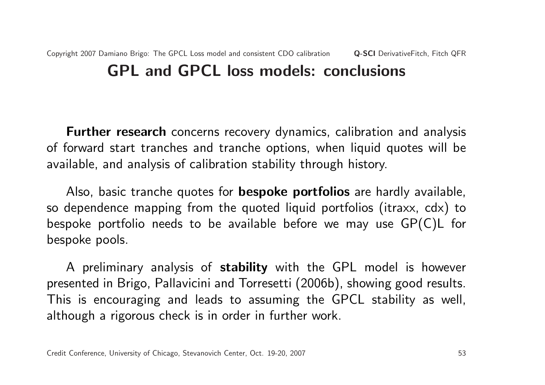#### Copyright 2007 Damiano Brigo: The GPCL Loss model and consistent CDO calibration Q-SCI DerivativeFitch, Fitch QFR GPL and GPCL loss models: conclusions

**Further research** concerns recovery dynamics, calibration and analysis of forward start tranches and tranche options, when liquid quotes will be available, and analysis of calibration stability through history.

Also, basic tranche quotes for **bespoke portfolios** are hardly available, so dependence mapping from the quoted liquid portfolios (itraxx, cdx) to bespoke portfolio needs to be available before we may use GP(C)L for bespoke pools.

A preliminary analysis of stability with the GPL model is however presented in Brigo, Pallavicini and Torresetti (2006b), showing good results. This is encouraging and leads to assuming the GPCL stability as well, although a rigorous check is in order in further work.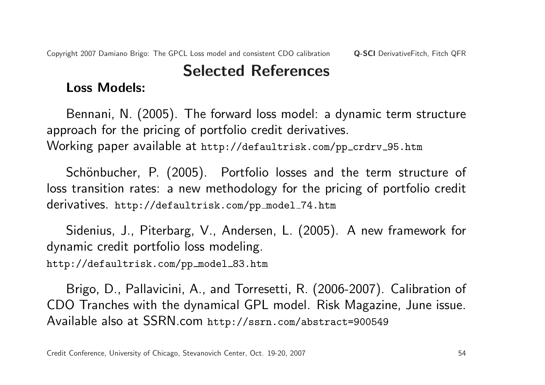## Selected References

#### Loss Models:

Bennani, N. (2005). The forward loss model: a dynamic term structure approach for the pricing of portfolio credit derivatives. Working paper available at http://defaultrisk.com/pp\_crdrv\_95.htm

Schönbucher, P. (2005). Portfolio losses and the term structure of loss transition rates: a new methodology for the pricing of portfolio credit derivatives. http://defaultrisk.com/pp model 74.htm

Sidenius, J., Piterbarg, V., Andersen, L. (2005). A new framework for dynamic credit portfolio loss modeling.

http://defaultrisk.com/pp\_model\_83.htm

Brigo, D., Pallavicini, A., and Torresetti, R. (2006-2007). Calibration of CDO Tranches with the dynamical GPL model. Risk Magazine, June issue. Available also at SSRN.com http://ssrn.com/abstract=900549